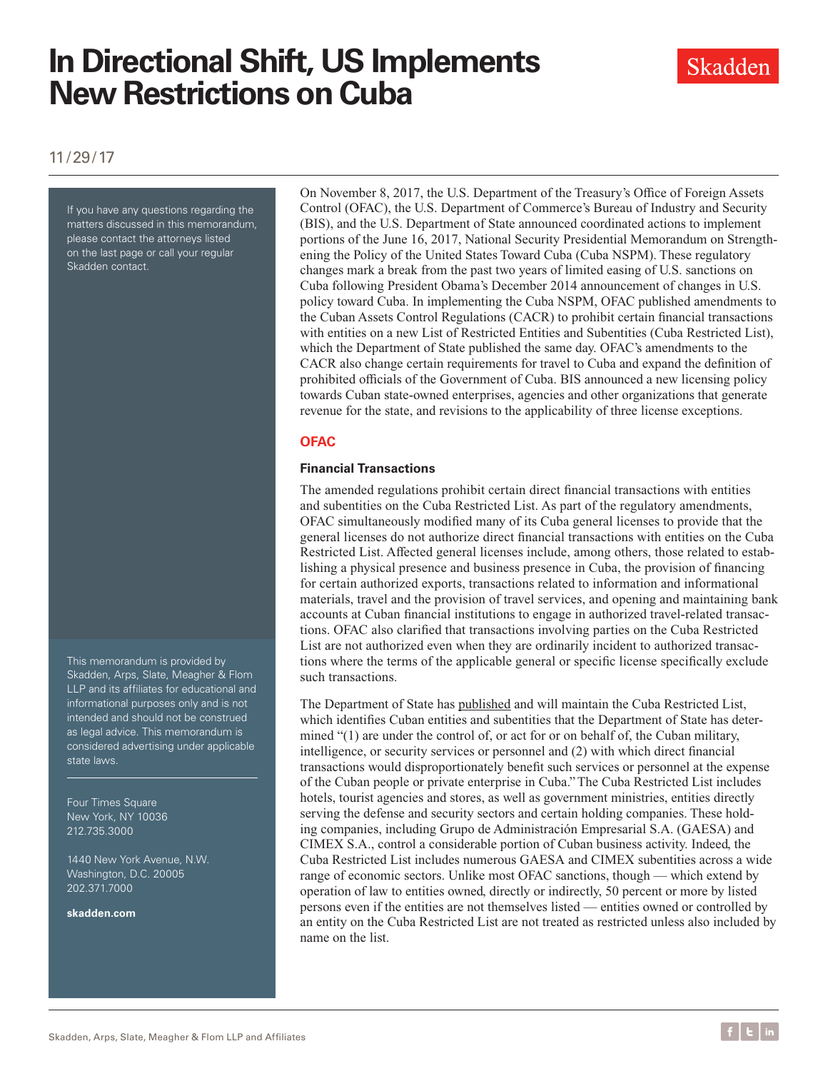# **In Directional Shift, US Implements New Restrictions on Cuba**



11/29/17

If you have any questions regarding the matters discussed in this memorandum, please contact the attorneys listed on the last page or call your regular Skadden contact.

This memorandum is provided by Skadden, Arps, Slate, Meagher & Flom LLP and its affiliates for educational and informational purposes only and is not intended and should not be construed as legal advice. This memorandum is considered advertising under applicable state laws.

Four Times Square New York, NY 10036 212.735.3000

1440 New York Avenue, N.W. Washington, D.C. 20005 202.371.7000

**[skadden.com](http://www.skadden.com)**

On November 8, 2017, the U.S. Department of the Treasury's Office of Foreign Assets Control (OFAC), the U.S. Department of Commerce's Bureau of Industry and Security (BIS), and the U.S. Department of State announced coordinated actions to implement portions of the June 16, 2017, National Security Presidential Memorandum on Strengthening the Policy of the United States Toward Cuba (Cuba NSPM). These regulatory changes mark a break from the past two years of limited easing of U.S. sanctions on Cuba following President Obama's December 2014 announcement of changes in U.S. policy toward Cuba. In implementing the Cuba NSPM, OFAC published amendments to the Cuban Assets Control Regulations (CACR) to prohibit certain financial transactions with entities on a new List of Restricted Entities and Subentities (Cuba Restricted List), which the Department of State published the same day. OFAC's amendments to the CACR also change certain requirements for travel to Cuba and expand the definition of prohibited officials of the Government of Cuba. BIS announced a new licensing policy towards Cuban state-owned enterprises, agencies and other organizations that generate revenue for the state, and revisions to the applicability of three license exceptions.

#### **OFAC**

#### **Financial Transactions**

The amended regulations prohibit certain direct financial transactions with entities and subentities on the Cuba Restricted List. As part of the regulatory amendments, OFAC simultaneously modified many of its Cuba general licenses to provide that the general licenses do not authorize direct financial transactions with entities on the Cuba Restricted List. Affected general licenses include, among others, those related to establishing a physical presence and business presence in Cuba, the provision of financing for certain authorized exports, transactions related to information and informational materials, travel and the provision of travel services, and opening and maintaining bank accounts at Cuban financial institutions to engage in authorized travel-related transactions. OFAC also clarified that transactions involving parties on the Cuba Restricted List are not authorized even when they are ordinarily incident to authorized transactions where the terms of the applicable general or specific license specifically exclude such transactions.

The Department of State has [published](https://www.state.gov/e/eb/tfs/spi/cuba/cubarestrictedlist/275331.htm) and will maintain the Cuba Restricted List, which identifies Cuban entities and subentities that the Department of State has determined "(1) are under the control of, or act for or on behalf of, the Cuban military, intelligence, or security services or personnel and (2) with which direct financial transactions would disproportionately benefit such services or personnel at the expense of the Cuban people or private enterprise in Cuba." The Cuba Restricted List includes hotels, tourist agencies and stores, as well as government ministries, entities directly serving the defense and security sectors and certain holding companies. These holding companies, including Grupo de Administración Empresarial S.A. (GAESA) and CIMEX S.A., control a considerable portion of Cuban business activity. Indeed, the Cuba Restricted List includes numerous GAESA and CIMEX subentities across a wide range of economic sectors. Unlike most OFAC sanctions, though — which extend by operation of law to entities owned, directly or indirectly, 50 percent or more by listed persons even if the entities are not themselves listed — entities owned or controlled by an entity on the Cuba Restricted List are not treated as restricted unless also included by name on the list.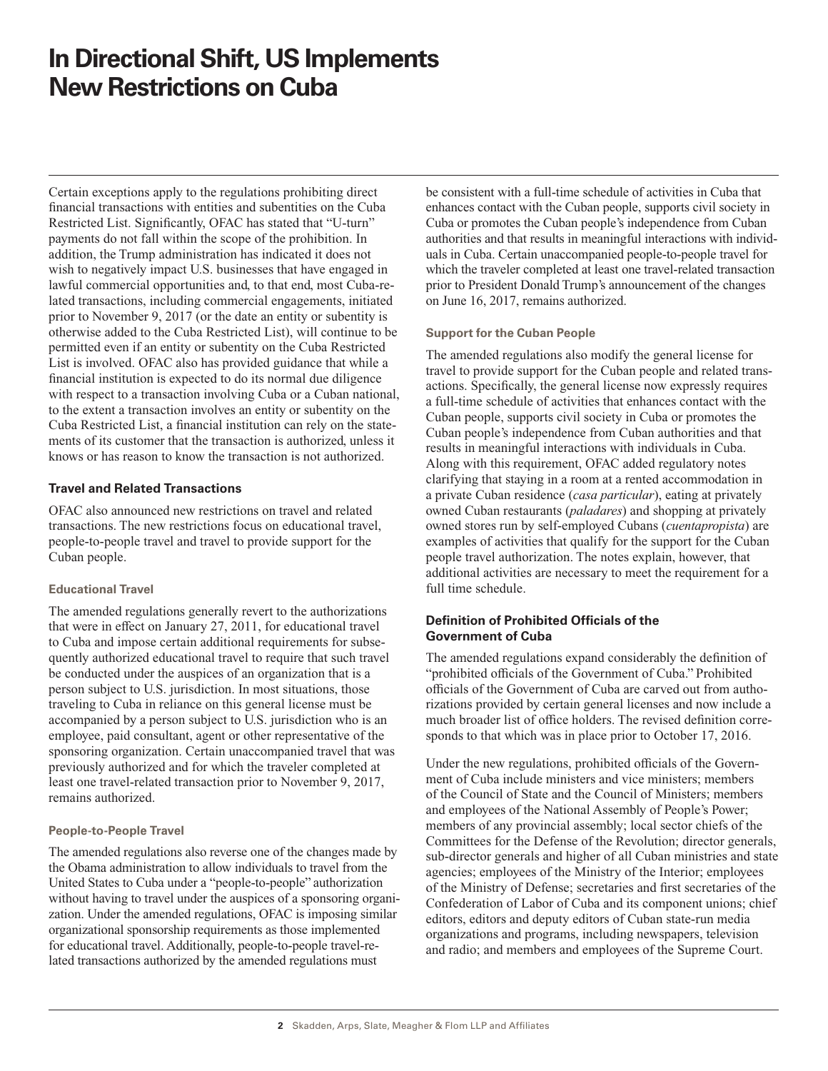## **In Directional Shift, US Implements New Restrictions on Cuba**

Certain exceptions apply to the regulations prohibiting direct financial transactions with entities and subentities on the Cuba Restricted List. Significantly, OFAC has stated that "U-turn" payments do not fall within the scope of the prohibition. In addition, the Trump administration has indicated it does not wish to negatively impact U.S. businesses that have engaged in lawful commercial opportunities and, to that end, most Cuba-related transactions, including commercial engagements, initiated prior to November 9, 2017 (or the date an entity or subentity is otherwise added to the Cuba Restricted List), will continue to be permitted even if an entity or subentity on the Cuba Restricted List is involved. OFAC also has provided guidance that while a financial institution is expected to do its normal due diligence with respect to a transaction involving Cuba or a Cuban national, to the extent a transaction involves an entity or subentity on the Cuba Restricted List, a financial institution can rely on the statements of its customer that the transaction is authorized, unless it knows or has reason to know the transaction is not authorized.

#### **Travel and Related Transactions**

OFAC also announced new restrictions on travel and related transactions. The new restrictions focus on educational travel, people-to-people travel and travel to provide support for the Cuban people.

#### **Educational Travel**

The amended regulations generally revert to the authorizations that were in effect on January 27, 2011, for educational travel to Cuba and impose certain additional requirements for subsequently authorized educational travel to require that such travel be conducted under the auspices of an organization that is a person subject to U.S. jurisdiction. In most situations, those traveling to Cuba in reliance on this general license must be accompanied by a person subject to U.S. jurisdiction who is an employee, paid consultant, agent or other representative of the sponsoring organization. Certain unaccompanied travel that was previously authorized and for which the traveler completed at least one travel-related transaction prior to November 9, 2017, remains authorized.

#### **People-to-People Travel**

The amended regulations also reverse one of the changes made by the Obama administration to allow individuals to travel from the United States to Cuba under a "people-to-people" authorization without having to travel under the auspices of a sponsoring organization. Under the amended regulations, OFAC is imposing similar organizational sponsorship requirements as those implemented for educational travel. Additionally, people-to-people travel-related transactions authorized by the amended regulations must

be consistent with a full-time schedule of activities in Cuba that enhances contact with the Cuban people, supports civil society in Cuba or promotes the Cuban people's independence from Cuban authorities and that results in meaningful interactions with individuals in Cuba. Certain unaccompanied people-to-people travel for which the traveler completed at least one travel-related transaction prior to President Donald Trump's announcement of the changes on June 16, 2017, remains authorized.

#### **Support for the Cuban People**

The amended regulations also modify the general license for travel to provide support for the Cuban people and related transactions. Specifically, the general license now expressly requires a full-time schedule of activities that enhances contact with the Cuban people, supports civil society in Cuba or promotes the Cuban people's independence from Cuban authorities and that results in meaningful interactions with individuals in Cuba. Along with this requirement, OFAC added regulatory notes clarifying that staying in a room at a rented accommodation in a private Cuban residence (*casa particular*), eating at privately owned Cuban restaurants (*paladares*) and shopping at privately owned stores run by self-employed Cubans (*cuentapropista*) are examples of activities that qualify for the support for the Cuban people travel authorization. The notes explain, however, that additional activities are necessary to meet the requirement for a full time schedule.

#### **Definition of Prohibited Officials of the Government of Cuba**

The amended regulations expand considerably the definition of "prohibited officials of the Government of Cuba." Prohibited officials of the Government of Cuba are carved out from authorizations provided by certain general licenses and now include a much broader list of office holders. The revised definition corresponds to that which was in place prior to October 17, 2016.

Under the new regulations, prohibited officials of the Government of Cuba include ministers and vice ministers; members of the Council of State and the Council of Ministers; members and employees of the National Assembly of People's Power; members of any provincial assembly; local sector chiefs of the Committees for the Defense of the Revolution; director generals, sub-director generals and higher of all Cuban ministries and state agencies; employees of the Ministry of the Interior; employees of the Ministry of Defense; secretaries and first secretaries of the Confederation of Labor of Cuba and its component unions; chief editors, editors and deputy editors of Cuban state-run media organizations and programs, including newspapers, television and radio; and members and employees of the Supreme Court.